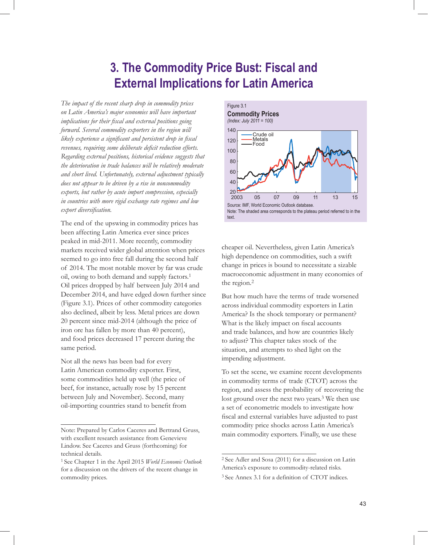# **3. The Commodity Price Bust: Fiscal and External Implications for Latin America**

*The impact of the recent sharp drop in commodity prices on Latin America's major economies will have important*  implications for their fiscal and external positions going *forward. Several commodity exporters in the region will likely experience a significant and persistent drop in fiscal revenues, requiring some deliberate deficit reduction efforts. Regarding external positions, historical evidence suggests that the deterioration in trade balances will be relatively moderate and short lived. Unfortunately, external adjustment typically does not appear to be driven by a rise in noncommodity exports, but rather by acute import compression, especially in countries with more rigid exchange rate regimes and low*   $export$  *diversification*.

The end of the upswing in commodity prices has been affecting Latin America ever since prices peaked in mid-2011. More recently, commodity markets received wider global attention when prices seemed to go into free fall during the second half of 2014. The most notable mover by far was crude oil, owing to both demand and supply factors.1 Oil prices dropped by half between July 2014 and December 2014, and have edged down further since (Figure 3.1). Prices of other commodity categories also declined, albeit by less. Metal prices are down 20 percent since mid-2014 (although the price of iron ore has fallen by more than 40 percent), and food prices decreased 17 percent during the same period.

Not all the news has been bad for every Latin American commodity exporter. First, some commodities held up well (the price of beef, for instance, actually rose by 15 percent between July and November). Second, many oil-importing countries stand to benefit from



cheaper oil. Nevertheless, given Latin America's high dependence on commodities, such a swift change in prices is bound to necessitate a sizable macroeconomic adjustment in many economies of the region.2

But how much have the terms of trade worsened across individual commodity exporters in Latin America? Is the shock temporary or permanent? What is the likely impact on fiscal accounts and trade balances, and how are countries likely to adjust? This chapter takes stock of the situation, and attempts to shed light on the impending adjustment.

To set the scene, we examine recent developments in commodity terms of trade (CTOT) across the region, and assess the probability of recovering the lost ground over the next two years.<sup>3</sup> We then use a set of econometric models to investigate how fiscal and external variables have adjusted to past commodity price shocks across Latin America's main commodity exporters. Finally, we use these

Note: Prepared by Carlos Caceres and Bertrand Gruss, with excellent research assistance from Genevieve Lindow. See Caceres and Gruss (forthcoming) for technical details.

<sup>1</sup> See Chapter 1 in the April 2015 *World Economic Outlook* for a discussion on the drivers of the recent change in commodity prices.

<sup>2</sup> See Adler and Sosa (2011) for a discussion on Latin America's exposure to commodity-related risks. 3 See Annex 3.1 for a definition of CTOT indices.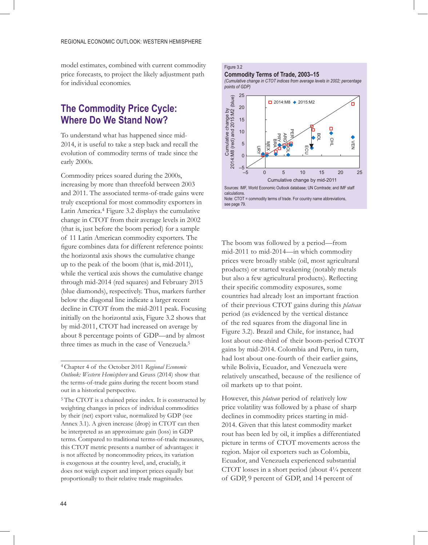model estimates, combined with current commodity price forecasts, to project the likely adjustment path for individual economies.

## **The Commodity Price Cycle: Where Do We Stand Now?**

To understand what has happened since mid-2014, it is useful to take a step back and recall the evolution of commodity terms of trade since the early 2000s.

Commodity prices soared during the 2000s, increasing by more than threefold between 2003 and 2011. The associated terms-of-trade gains were truly exceptional for most commodity exporters in Latin America.4 Figure 3.2 displays the cumulative change in CTOT from their average levels in 2002 (that is, just before the boom period) for a sample of 11 Latin American commodity exporters. The figure combines data for different reference points: the horizontal axis shows the cumulative change up to the peak of the boom (that is, mid-2011), while the vertical axis shows the cumulative change through mid-2014 (red squares) and February 2015 (blue diamonds), respectively. Thus, markers further below the diagonal line indicate a larger recent decline in CTOT from the mid-2011 peak. Focusing initially on the horizontal axis, Figure 3.2 shows that by mid-2011, CTOT had increased on average by about 8 percentage points of GDP—and by almost three times as much in the case of Venezuela.5

### Figure 3.2

### **Commodity Terms of Trade, 2003–15**

*(Cumulative change in CTOT indices from average levels in 2002; percentage points of GDP)* 



The boom was followed by a period—from mid-2011 to mid-2014—in which commodity prices were broadly stable (oil, most agricultural products) or started weakening (notably metals but also a few agricultural products). Reflecting their specific commodity exposures, some countries had already lost an important fraction of their previous CTOT gains during this *plateau* period (as evidenced by the vertical distance of the red squares from the diagonal line in Figure 3.2). Brazil and Chile, for instance, had lost about one-third of their boom-period CTOT gains by mid-2014. Colombia and Peru, in turn, had lost about one-fourth of their earlier gains, while Bolivia, Ecuador, and Venezuela were relatively unscathed, because of the resilience of oil markets up to that point.

However, this *plateau* period of relatively low price volatility was followed by a phase of sharp declines in commodity prices starting in mid-2014. Given that this latest commodity market rout has been led by oil, it implies a differentiated picture in terms of CTOT movements across the region. Major oil exporters such as Colombia, Ecuador, and Venezuela experienced substantial CTOT losses in a short period (about 4¼ percent of GDP, 9 percent of GDP, and 14 percent of

<sup>4</sup> Chapter 4 of the October 2011 *Regional Economic Outlook: Western Hemisphere* and Gruss (2014) show that the terms-of-trade gains during the recent boom stand out in a historical perspective.

<sup>5</sup> The CTOT is a chained price index. It is constructed by weighting changes in prices of individual commodities by their (net) export value, normalized by GDP (see Annex 3.1). A given increase (drop) in CTOT can then be interpreted as an approximate gain (loss) in GDP terms. Compared to traditional terms-of-trade measures, this CTOT metric presents a number of advantages: it is not affected by noncommodity prices, its variation is exogenous at the country level, and, crucially, it does not weigh export and import prices equally but proportionally to their relative trade magnitudes.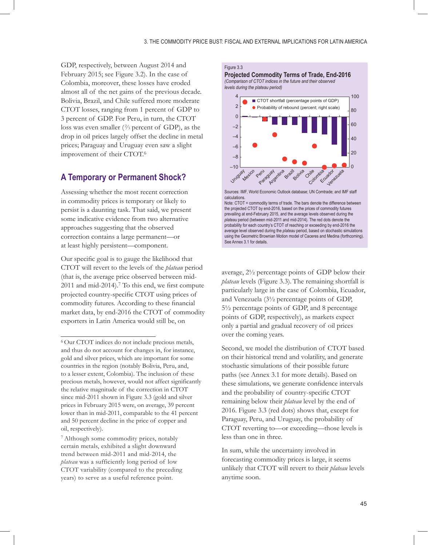GDP, respectively, between August 2014 and February 2015; see Figure 3.2). In the case of Colombia, moreover, these losses have eroded almost all of the net gains of the previous decade. Bolivia, Brazil, and Chile suffered more moderate CTOT losses, ranging from 1 percent of GDP to 3 percent of GDP. For Peru, in turn, the CTOT loss was even smaller  $(^{2}/_{3}$  percent of GDP), as the drop in oil prices largely offset the decline in metal prices; Paraguay and Uruguay even saw a slight improvement of their CTOT.6

## **A Temporary or Permanent Shock?**

Assessing whether the most recent correction in commodity prices is temporary or likely to persist is a daunting task. That said, we present some indicative evidence from two alternative approaches suggesting that the observed correction contains a large permanent—or at least highly persistent—component.

Our specific goal is to gauge the likelihood that CTOT will revert to the levels of the *plateau* period (that is, the average price observed between mid- $2011$  and mid- $2014$ ).<sup>7</sup> To this end, we first compute projected country-specific CTOT using prices of commodity futures. According to these financial market data, by end-2016 the CTOT of commodity exporters in Latin America would still be, on

7 Although some commodity prices, notably certain metals, exhibited a slight downward trend between mid-2011 and mid-2014, the *plateau* was a sufficiently long period of low CTOT variability (compared to the preceding years) to serve as a useful reference point.

#### Figure 3.3

**Projected Commodity Terms of Trade, End-2016** *(Comparison of CTOT indices in the future and their observed levels during the plateau period)* 



Sources: IMF, World Economic Outlook database; UN Comtrade; and IMF staff calculations.

average, 2½ percentage points of GDP below their *plateau* levels (Figure 3.3). The remaining shortfall is particularly large in the case of Colombia, Ecuador, and Venezuela (3½ percentage points of GDP, 5½ percentage points of GDP, and 8 percentage points of GDP, respectively), as markets expect only a partial and gradual recovery of oil prices over the coming years.

Second, we model the distribution of CTOT based on their historical trend and volatility, and generate stochastic simulations of their possible future paths (see Annex 3.1 for more details). Based on these simulations, we generate confidence intervals and the probability of country-specific CTOT remaining below their *plateau* level by the end of 2016. Figure 3.3 (red dots) shows that, except for Paraguay, Peru, and Uruguay, the probability of CTOT reverting to—or exceeding—those levels is less than one in three.

In sum, while the uncertainty involved in forecasting commodity prices is large, it seems unlikely that CTOT will revert to their *plateau* levels anytime soon.

<sup>6</sup> Our CTOT indices do not include precious metals, and thus do not account for changes in, for instance, gold and silver prices, which are important for some countries in the region (notably Bolivia, Peru, and, to a lesser extent, Colombia). The inclusion of these precious metals, however, would not affect significantly the relative magnitude of the correction in CTOT since mid-2011 shown in Figure 3.3 (gold and silver prices in February 2015 were, on average, 39 percent lower than in mid-2011, comparable to the 41 percent and 50 percent decline in the price of copper and oil, respectively).

Note: CTOT = commodity terms of trade. The bars denote the difference between the projected CTOT by end-2016, based on the prices of commodity futures prevailing at end-February 2015, and the average levels observed during the *plateau* period (between mid-2011 and mid-2014). The red dots denote the probability for each country's CTOT of reaching or exceeding by end-2016 the average level observed during the *plateau* period, based on stochastic simulations using the Geometric Brownian Motion model of Caceres and Medina (forthcoming). See Annex 3.1 for details.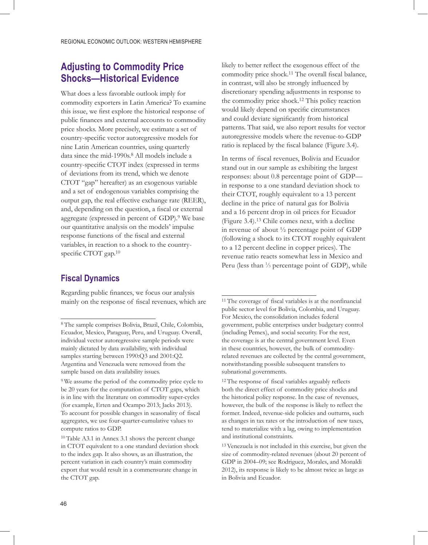## **Adjusting to Commodity Price Shocks—Historical Evidence**

What does a less favorable outlook imply for commodity exporters in Latin America? To examine this issue, we first explore the historical response of public finances and external accounts to commodity price shocks. More precisely, we estimate a set of country-specific vector autoregressive models for nine Latin American countries, using quarterly data since the mid-1990s.<sup>8</sup> All models include a country-specific CTOT index (expressed in terms of deviations from its trend, which we denote CTOT "gap" hereafter) as an exogenous variable and a set of endogenous variables comprising the output gap, the real effective exchange rate (REER), and, depending on the question, a fiscal or external aggregate (expressed in percent of GDP).<sup>9</sup> We base our quantitative analysis on the models' impulse response functions of the fiscal and external variables, in reaction to a shock to the countryspecific CTOT gap. $10$ 

### **Fiscal Dynamics**

Regarding public finances, we focus our analysis mainly on the response of fiscal revenues, which are likely to better reflect the exogenous effect of the commodity price shock.<sup>11</sup> The overall fiscal balance, in contrast, will also be strongly influenced by discretionary spending adjustments in response to the commodity price shock.12 This policy reaction would likely depend on specific circumstances and could deviate significantly from historical patterns. That said, we also report results for vector autoregressive models where the revenue-to-GDP ratio is replaced by the fiscal balance (Figure 3.4).

In terms of fiscal revenues, Bolivia and Ecuador stand out in our sample as exhibiting the largest responses: about 0.8 percentage point of GDP in response to a one standard deviation shock to their CTOT, roughly equivalent to a 13 percent decline in the price of natural gas for Bolivia and a 16 percent drop in oil prices for Ecuador (Figure 3.4).13 Chile comes next, with a decline in revenue of about ½ percentage point of GDP (following a shock to its CTOT roughly equivalent to a 12 percent decline in copper prices). The revenue ratio reacts somewhat less in Mexico and Peru (less than <sup>1</sup>/<sub>3</sub> percentage point of GDP), while

<sup>8</sup> The sample comprises Bolivia, Brazil, Chile, Colombia, Ecuador, Mexico, Paraguay, Peru, and Uruguay. Overall, individual vector autoregressive sample periods were mainly dictated by data availability, with individual samples starting between 1990:Q3 and 2001:Q2. Argentina and Venezuela were removed from the sample based on data availability issues.

<sup>9</sup> We assume the period of the commodity price cycle to be 20 years for the computation of CTOT gaps, which is in line with the literature on commodity super-cycles (for example, Erten and Ocampo 2013; Jacks 2013). To account for possible changes in seasonality of fiscal aggregates, we use four-quarter-cumulative values to compute ratios to GDP.

<sup>10</sup> Table A3.1 in Annex 3.1 shows the percent change in CTOT equivalent to a one standard deviation shock to the index gap. It also shows, as an illustration, the percent variation in each country's main commodity export that would result in a commensurate change in the CTOT gap.

<sup>11</sup> The coverage of fiscal variables is at the nonfinancial public sector level for Bolivia, Colombia, and Uruguay. For Mexico, the consolidation includes federal government, public enterprises under budgetary control (including Pemex), and social security. For the rest, the coverage is at the central government level. Even in these countries, however, the bulk of commodityrelated revenues are collected by the central government, notwithstanding possible subsequent transfers to subnational governments.

<sup>12</sup> The response of fiscal variables arguably reflects both the direct effect of commodity price shocks and the historical policy response. In the case of revenues, however, the bulk of the response is likely to reflect the former. Indeed, revenue-side policies and outturns, such as changes in tax rates or the introduction of new taxes, tend to materialize with a lag, owing to implementation and institutional constraints.

<sup>13</sup> Venezuela is not included in this exercise, but given the size of commodity-related revenues (about 20 percent of GDP in 2004–09; see Rodriguez, Morales, and Monaldi 2012), its response is likely to be almost twice as large as in Bolivia and Ecuador.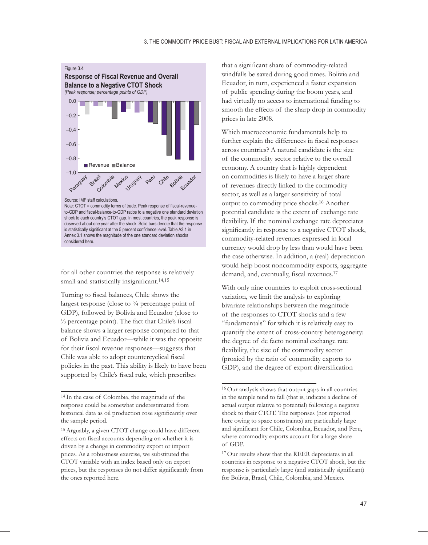

for all other countries the response is relatively small and statistically insignificant.<sup>14,15</sup>

Turning to fiscal balances, Chile shows the largest response (close to  $\frac{3}{4}$  percentage point of GDP), followed by Bolivia and Ecuador (close to <sup>1</sup>/<sub>3</sub> percentage point). The fact that Chile's fiscal balance shows a larger response compared to that of Bolivia and Ecuador—while it was the opposite for their fiscal revenue responses—suggests that Chile was able to adopt countercyclical fiscal policies in the past. This ability is likely to have been supported by Chile's fiscal rule, which prescribes

that a significant share of commodity-related windfalls be saved during good times. Bolivia and Ecuador, in turn, experienced a faster expansion of public spending during the boom years, and had virtually no access to international funding to smooth the effects of the sharp drop in commodity prices in late 2008.

Which macroeconomic fundamentals help to further explain the differences in fiscal responses across countries? A natural candidate is the size of the commodity sector relative to the overall economy. A country that is highly dependent on commodities is likely to have a larger share of revenues directly linked to the commodity sector, as well as a larger sensitivity of total output to commodity price shocks.16 Another potential candidate is the extent of exchange rate flexibility. If the nominal exchange rate depreciates significantly in response to a negative CTOT shock, commodity-related revenues expressed in local currency would drop by less than would have been the case otherwise. In addition, a (real) depreciation would help boost noncommodity exports, aggregate demand, and, eventually, fiscal revenues.<sup>17</sup>

With only nine countries to exploit cross-sectional variation, we limit the analysis to exploring bivariate relationships between the magnitude of the responses to CTOT shocks and a few "fundamentals" for which it is relatively easy to quantify the extent of cross-country heterogeneity: the degree of de facto nominal exchange rate flexibility, the size of the commodity sector (proxied by the ratio of commodity exports to GDP), and the degree of export diversification

<sup>14</sup> In the case of Colombia, the magnitude of the response could be somewhat underestimated from historical data as oil production rose significantly over the sample period.

<sup>15</sup> Arguably, a given CTOT change could have different effects on fiscal accounts depending on whether it is driven by a change in commodity export or import prices. As a robustness exercise, we substituted the CTOT variable with an index based only on export prices, but the responses do not differ significantly from the ones reported here.

<sup>16</sup> Our analysis shows that output gaps in all countries in the sample tend to fall (that is, indicate a decline of actual output relative to potential) following a negative shock to their CTOT. The responses (not reported here owing to space constraints) are particularly large and significant for Chile, Colombia, Ecuador, and Peru, where commodity exports account for a large share of GDP.

<sup>17</sup> Our results show that the REER depreciates in all countries in response to a negative CTOT shock, but the response is particularly large (and statistically significant) for Bolivia, Brazil, Chile, Colombia, and Mexico.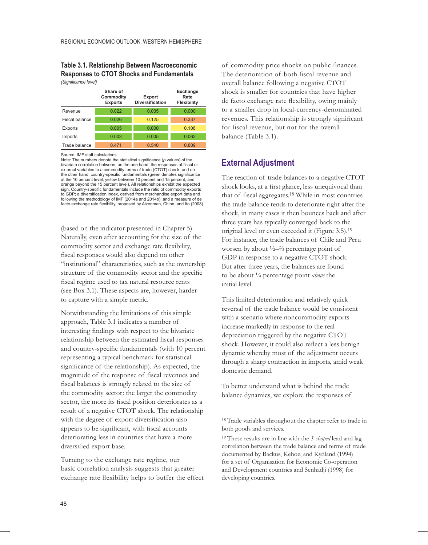|                | Share of<br>Commodity<br><b>Exports</b> | <b>Export</b><br><b>Diversification</b> | Exchange<br>Rate<br><b>Flexibility</b> |  |
|----------------|-----------------------------------------|-----------------------------------------|----------------------------------------|--|
| Revenue        | 0.022                                   | 0.035                                   | 0.000                                  |  |
| Fiscal balance | 0.026                                   | 0.125                                   | 0.337                                  |  |
| Exports        | 0.005                                   | 0.000                                   | 0.108                                  |  |
| Imports        | 0.003                                   | 0.005                                   | 0.062                                  |  |
| Trade balance  | 0.471                                   | 0.540                                   | 0.809                                  |  |

### **Table 3.1. Relationship Between Macroeconomic Responses to CTOT Shocks and Fundamentals**

*(Signifi cance level)*

Source: IMF staff calculations.

Note: The numbers denote the statistical significance (*p* values) of the bivariate correlation between, on the one hand, the responses of fiscal or external variables to a commodity terms of trade (CTOT) shock, and on the other hand, country-specific fundamentals (green denotes significance at the 10 percent level; yellow between 10 percent and 15 percent; and orange beyond the 15 percent level). All relationships exhibit the expected sign. Country-specific fundamentals include the ratio of commodity exports to GDP; a diversification index, derived from merchandise export data and following the methodology of IMF (2014a and 2014b); and a measure of de facto exchange rate flexibility, proposed by Aizenman, Chinn, and Ito (2008).

(based on the indicator presented in Chapter 5). Naturally, even after accounting for the size of the commodity sector and exchange rate flexibility, fiscal responses would also depend on other "institutional" characteristics, such as the ownership structure of the commodity sector and the specific fiscal regime used to tax natural resource rents (see Box 3.1). These aspects are, however, harder to capture with a simple metric.

Notwithstanding the limitations of this simple approach, Table 3.1 indicates a number of interesting findings with respect to the bivariate relationship between the estimated fiscal responses and country-specific fundamentals (with 10 percent representing a typical benchmark for statistical significance of the relationship). As expected, the magnitude of the response of fiscal revenues and fiscal balances is strongly related to the size of the commodity sector: the larger the commodity sector, the more its fiscal position deteriorates as a result of a negative CTOT shock. The relationship with the degree of export diversification also appears to be significant, with fiscal accounts deteriorating less in countries that have a more diversified export base.

Turning to the exchange rate regime, our basic correlation analysis suggests that greater exchange rate flexibility helps to buffer the effect of commodity price shocks on public finances. The deterioration of both fiscal revenue and overall balance following a negative CTOT shock is smaller for countries that have higher de facto exchange rate flexibility, owing mainly to a smaller drop in local-currency-denominated revenues. This relationship is strongly significant for fiscal revenue, but not for the overall balance (Table 3.1).

### **External Adjustment**

The reaction of trade balances to a negative CTOT shock looks, at a first glance, less unequivocal than that of fiscal aggregates.<sup>18</sup> While in most countries the trade balance tends to deteriorate right after the shock, in many cases it then bounces back and after three years has typically converged back to the original level or even exceeded it (Figure 3.5).19 For instance, the trade balances of Chile and Peru worsen by about  $\frac{1}{2} - \frac{2}{3}$  percentage point of GDP in response to a negative CTOT shock. But after three years, the balances are found to be about ¼ percentage point *above* the initial level.

This limited deterioration and relatively quick reversal of the trade balance would be consistent with a scenario where noncommodity exports increase markedly in response to the real depreciation triggered by the negative CTOT shock. However, it could also reflect a less benign dynamic whereby most of the adjustment occurs through a sharp contraction in imports, amid weak domestic demand.

To better understand what is behind the trade balance dynamics, we explore the responses of

<sup>18</sup> Trade variables throughout the chapter refer to trade in both goods and services.

<sup>19</sup> These results are in line with the *S-shaped* lead and lag correlation between the trade balance and terms of trade documented by Backus, Kehoe, and Kydland (1994) for a set of Organisation for Economic Co-operation and Development countries and Senhadji (1998) for developing countries.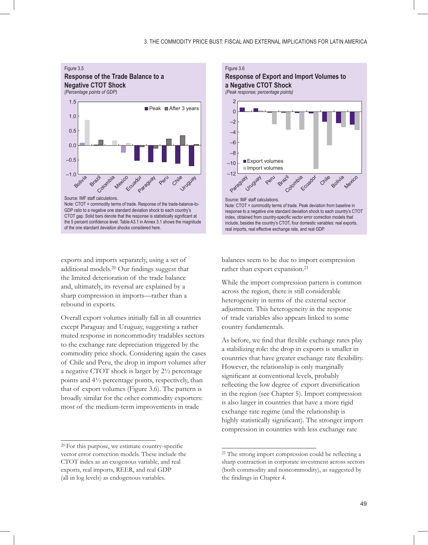

exports and imports separately, using a set of additional models.<sup>20</sup> Our findings suggest that the limited deterioration of the trade balance and, ultimately, its reversal are explained by a sharp compression in imports—rather than a rebound in exports.

Overall export volumes initially fall in all countries except Paraguay and Uruguay, suggesting a rather muted response in noncommodity tradables sectors to the exchange rate depreciation triggered by the commodity price shock. Considering again the cases of Chile and Peru, the drop in import volumes after a negative CTOT shock is larger by 2½ percentage points and 4½ percentage points, respectively, than that of export volumes (Figure 3.6). The pattern is broadly similar for the other commodity exporters: most of the medium-term improvements in trade



balances seem to be due to import compression rather than export expansion.<sup>21</sup>

While the import compression pattern is common across the region, there is still considerable heterogeneity in terms of the external sector adjustment. This heterogeneity in the response of trade variables also appears linked to some country fundamentals.

As before, we find that flexible exchange rates play a stabilizing role: the drop in exports is smaller in countries that have greater exchange rate flexibility. However, the relationship is only marginally significant at conventional levels, probably reflecting the low degree of export diversification in the region (see Chapter 5). Import compression is also larger in countries that have a more rigid exchange rate regime (and the relationship is highly statistically significant). The stronger import compression in countries with less exchange rate

<sup>20</sup> For this purpose, we estimate country-specific vector error correction models. These include the CTOT index as an exogenous variable, and real exports, real imports, REER, and real GDP (all in log levels) as endogenous variables.

<sup>21</sup> The strong import compression could be reflecting a sharp contraction in corporate investment across sectors (both commodity and noncommodity), as suggested by the findings in Chapter 4.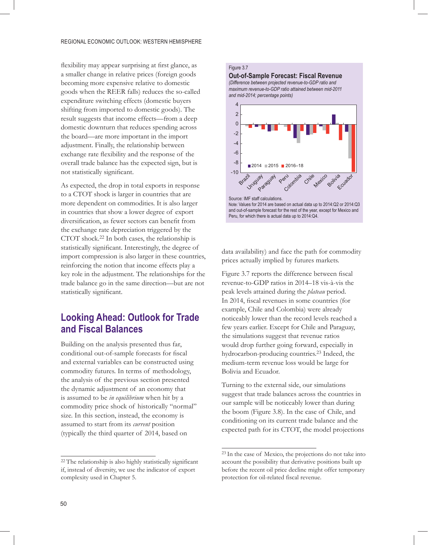flexibility may appear surprising at first glance, as a smaller change in relative prices (foreign goods becoming more expensive relative to domestic goods when the REER falls) reduces the so-called expenditure switching effects (domestic buyers shifting from imported to domestic goods). The result suggests that income effects—from a deep domestic downturn that reduces spending across the board—are more important in the import adjustment. Finally, the relationship between exchange rate flexibility and the response of the overall trade balance has the expected sign, but is not statistically significant.

As expected, the drop in total exports in response to a CTOT shock is larger in countries that are more dependent on commodities. It is also larger in countries that show a lower degree of export diversification, as fewer sectors can benefit from the exchange rate depreciation triggered by the CTOT shock.22 In both cases, the relationship is statistically significant. Interestingly, the degree of import compression is also larger in these countries, reinforcing the notion that income effects play a key role in the adjustment. The relationships for the trade balance go in the same direction—but are not statistically significant.

## **Looking Ahead: Outlook for Trade and Fiscal Balances**

Building on the analysis presented thus far, conditional out-of-sample forecasts for fiscal and external variables can be constructed using commodity futures. In terms of methodology, the analysis of the previous section presented the dynamic adjustment of an economy that is assumed to be *in equilibrium* when hit by a commodity price shock of historically "normal" size. In this section, instead, the economy is assumed to start from its *current* position (typically the third quarter of 2014, based on

#### Figure 3.7

**Out-of-Sample Forecast: Fiscal Revenue** *(Difference between projected revenue-to-GDP ratio and maximum revenue-to-GDP ratio attained between mid-2011 and mid-2014; percentage points)*



data availability) and face the path for commodity prices actually implied by futures markets.

Figure 3.7 reports the difference between fiscal revenue-to-GDP ratios in 2014–18 vis-à-vis the peak levels attained during the *plateau* period. In 2014, fiscal revenues in some countries (for example, Chile and Colombia) were already noticeably lower than the record levels reached a few years earlier. Except for Chile and Paraguay, the simulations suggest that revenue ratios would drop further going forward, especially in hydrocarbon-producing countries.23 Indeed, the medium-term revenue loss would be large for Bolivia and Ecuador.

Turning to the external side, our simulations suggest that trade balances across the countries in our sample will be noticeably lower than during the boom (Figure 3.8). In the case of Chile, and conditioning on its current trade balance and the expected path for its CTOT, the model projections

<sup>22</sup> The relationship is also highly statistically significant if, instead of diversity, we use the indicator of export complexity used in Chapter 5.

<sup>23</sup> In the case of Mexico, the projections do not take into account the possibility that derivative positions built up before the recent oil price decline might offer temporary protection for oil-related fiscal revenue.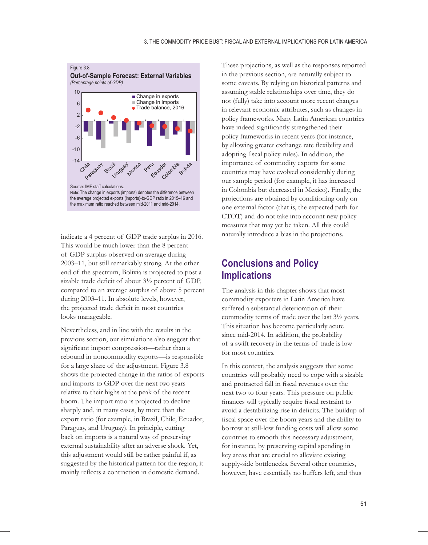

indicate a 4 percent of GDP trade surplus in 2016. This would be much lower than the 8 percent of GDP surplus observed on average during 2003–11, but still remarkably strong. At the other end of the spectrum, Bolivia is projected to post a sizable trade deficit of about  $3\frac{1}{2}$  percent of GDP, compared to an average surplus of above 5 percent during 2003–11. In absolute levels, however, the projected trade deficit in most countries looks manageable.

Nevertheless, and in line with the results in the previous section, our simulations also suggest that significant import compression—rather than a rebound in noncommodity exports—is responsible for a large share of the adjustment. Figure 3.8 shows the projected change in the ratios of exports and imports to GDP over the next two years relative to their highs at the peak of the recent boom. The import ratio is projected to decline sharply and, in many cases, by more than the export ratio (for example, in Brazil, Chile, Ecuador, Paraguay, and Uruguay). In principle, cutting back on imports is a natural way of preserving external sustainability after an adverse shock. Yet, this adjustment would still be rather painful if, as suggested by the historical pattern for the region, it mainly reflects a contraction in domestic demand.

These projections, as well as the responses reported in the previous section, are naturally subject to some caveats. By relying on historical patterns and assuming stable relationships over time, they do not (fully) take into account more recent changes in relevant economic attributes, such as changes in policy frameworks. Many Latin American countries have indeed significantly strengthened their policy frameworks in recent years (for instance, by allowing greater exchange rate flexibility and adopting fiscal policy rules). In addition, the importance of commodity exports for some countries may have evolved considerably during our sample period (for example, it has increased in Colombia but decreased in Mexico). Finally, the projections are obtained by conditioning only on one external factor (that is, the expected path for CTOT) and do not take into account new policy measures that may yet be taken. All this could naturally introduce a bias in the projections.

## **Conclusions and Policy Implications**

The analysis in this chapter shows that most commodity exporters in Latin America have suffered a substantial deterioration of their commodity terms of trade over the last 3½ years. This situation has become particularly acute since mid-2014. In addition, the probability of a swift recovery in the terms of trade is low for most countries.

In this context, the analysis suggests that some countries will probably need to cope with a sizable and protracted fall in fiscal revenues over the next two to four years. This pressure on public finances will typically require fiscal restraint to avoid a destabilizing rise in deficits. The buildup of fiscal space over the boom years and the ability to borrow at still-low funding costs will allow some countries to smooth this necessary adjustment, for instance, by preserving capital spending in key areas that are crucial to alleviate existing supply-side bottlenecks. Several other countries, however, have essentially no buffers left, and thus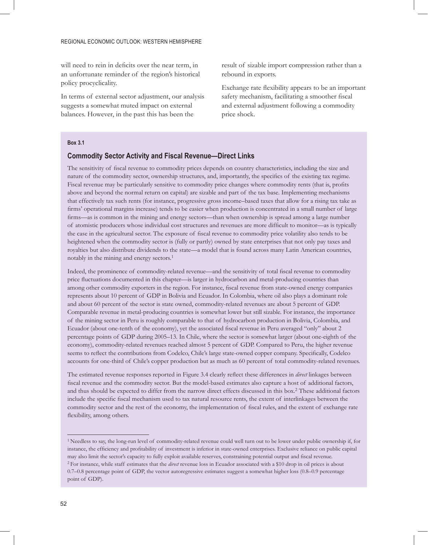will need to rein in deficits over the near term, in an unfortunate reminder of the region's historical policy procyclicality.

In terms of external sector adjustment, our analysis suggests a somewhat muted impact on external balances. However, in the past this has been the

result of sizable import compression rather than a rebound in exports.

Exchange rate flexibility appears to be an important safety mechanism, facilitating a smoother fiscal and external adjustment following a commodity price shock.

#### **Box 3.1**

#### **Commodity Sector Activity and Fiscal Revenue—Direct Links**

The sensitivity of fiscal revenue to commodity prices depends on country characteristics, including the size and nature of the commodity sector, ownership structures, and, importantly, the specifics of the existing tax regime. Fiscal revenue may be particularly sensitive to commodity price changes where commodity rents (that is, profits above and beyond the normal return on capital) are sizable and part of the tax base. Implementing mechanisms that effectively tax such rents (for instance, progressive gross income–based taxes that allow for a rising tax take as firms' operational margins increase) tends to be easier when production is concentrated in a small number of large firms—as is common in the mining and energy sectors—than when ownership is spread among a large number of atomistic producers whose individual cost structures and revenues are more difficult to monitor—as is typically the case in the agricultural sector. The exposure of fiscal revenue to commodity price volatility also tends to be heightened when the commodity sector is (fully or partly) owned by state enterprises that not only pay taxes and royalties but also distribute dividends to the state—a model that is found across many Latin American countries, notably in the mining and energy sectors.1

Indeed, the prominence of commodity-related revenue—and the sensitivity of total fiscal revenue to commodity price fluctuations documented in this chapter—is larger in hydrocarbon and metal-producing countries than among other commodity exporters in the region. For instance, fiscal revenue from state-owned energy companies represents about 10 percent of GDP in Bolivia and Ecuador. In Colombia, where oil also plays a dominant role and about 60 percent of the sector is state owned, commodity-related revenues are about 5 percent of GDP. Comparable revenue in metal-producing countries is somewhat lower but still sizable. For instance, the importance of the mining sector in Peru is roughly comparable to that of hydrocarbon production in Bolivia, Colombia, and Ecuador (about one-tenth of the economy), yet the associated fiscal revenue in Peru averaged "only" about 2 percentage points of GDP during 2005–13. In Chile, where the sector is somewhat larger (about one-eighth of the economy), commodity-related revenues reached almost 5 percent of GDP. Compared to Peru, the higher revenue seems to reflect the contributions from Codelco, Chile's large state-owned copper company. Specifically, Codelco accounts for one-third of Chile's copper production but as much as 60 percent of total commodity-related revenues.

The estimated revenue responses reported in Figure 3.4 clearly reflect these differences in *direct* linkages between fiscal revenue and the commodity sector. But the model-based estimates also capture a host of additional factors, and thus should be expected to differ from the narrow direct effects discussed in this box.2 These additional factors include the specific fiscal mechanism used to tax natural resource rents, the extent of interlinkages between the commodity sector and the rest of the economy, the implementation of fiscal rules, and the extent of exchange rate flexibility, among others.

<sup>1</sup> Needless to say, the long-run level of commodity-related revenue could well turn out to be lower under public ownership if, for instance, the efficiency and profitability of investment is inferior in state-owned enterprises. Exclusive reliance on public capital may also limit the sector's capacity to fully exploit available reserves, constraining potential output and fiscal revenue. 2 For instance, while staff estimates that the *direct* revenue loss in Ecuador associated with a \$10 drop in oil prices is about 0.7–0.8 percentage point of GDP, the vector autoregressive estimates suggest a somewhat higher loss (0.8–0.9 percentage

point of GDP).